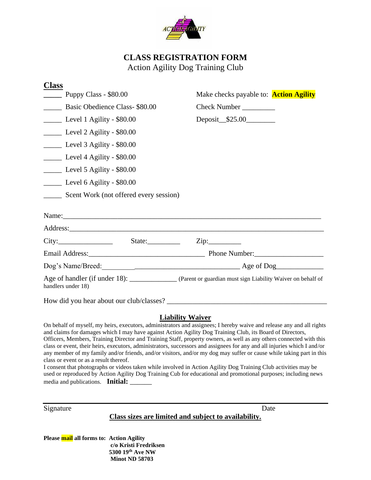

## **CLASS REGISTRATION FORM** Action Agility Dog Training Club

| <b>Class</b>                                                                                                     |                                                                                                                                                                                                                                               |
|------------------------------------------------------------------------------------------------------------------|-----------------------------------------------------------------------------------------------------------------------------------------------------------------------------------------------------------------------------------------------|
| Puppy Class - \$80.00                                                                                            | Make checks payable to: <b>Action Agility</b>                                                                                                                                                                                                 |
| Basic Obedience Class-\$80.00                                                                                    | Check Number                                                                                                                                                                                                                                  |
| Level 1 Agility - \$80.00                                                                                        | Deposit_\$25.00________                                                                                                                                                                                                                       |
| Level 2 Agility - \$80.00                                                                                        |                                                                                                                                                                                                                                               |
| Level 3 Agility - \$80.00<br>Level 4 Agility - \$80.00<br>Level 5 Agility - \$80.00<br>Level 6 Agility - \$80.00 |                                                                                                                                                                                                                                               |
|                                                                                                                  |                                                                                                                                                                                                                                               |
|                                                                                                                  |                                                                                                                                                                                                                                               |
|                                                                                                                  | _______ Scent Work (not offered every session)                                                                                                                                                                                                |
|                                                                                                                  | Name:                                                                                                                                                                                                                                         |
| City: City: State: City:                                                                                         |                                                                                                                                                                                                                                               |
|                                                                                                                  |                                                                                                                                                                                                                                               |
|                                                                                                                  | Dog's Name/Breed:<br><u>Dog's Name/Breed:</u><br><u> Letter and the contract of the contract of the contract of the contract of the contract of the contract of the contract of the contract of the contract of the contract of the contr</u> |
| handlers under 18)                                                                                               | Age of handler (if under 18): _____________ (Parent or guardian must sign Liability Waiver on behalf of                                                                                                                                       |
|                                                                                                                  |                                                                                                                                                                                                                                               |
|                                                                                                                  | <b>Liability Waiver</b>                                                                                                                                                                                                                       |
|                                                                                                                  | On behalf of myself, my heirs, executors, administrators and assignees; I hereby waive and release any and all rights                                                                                                                         |

and claims for damages which I may have against Action Agility Dog Training Club, its Board of Directors, Officers, Members, Training Director and Training Staff, property owners, as well as any others connected with this class or event, their heirs, executors, administrators, successors and assignees for any and all injuries which I and/or any member of my family and/or friends, and/or visitors, and/or my dog may suffer or cause while taking part in this class or event or as a result thereof.

I consent that photographs or videos taken while involved in Action Agility Dog Training Club activities may be used or reproduced by Action Agility Dog Training Cub for educational and promotional purposes; including news media and publications. **Initial:** \_\_\_\_\_\_

Signature Date

## **Class sizes are limited and subject to availability.**

**Please mail all forms to: Action Agility c/o Kristi Fredriksen 5300 19th Ave NW Minot ND 58703**